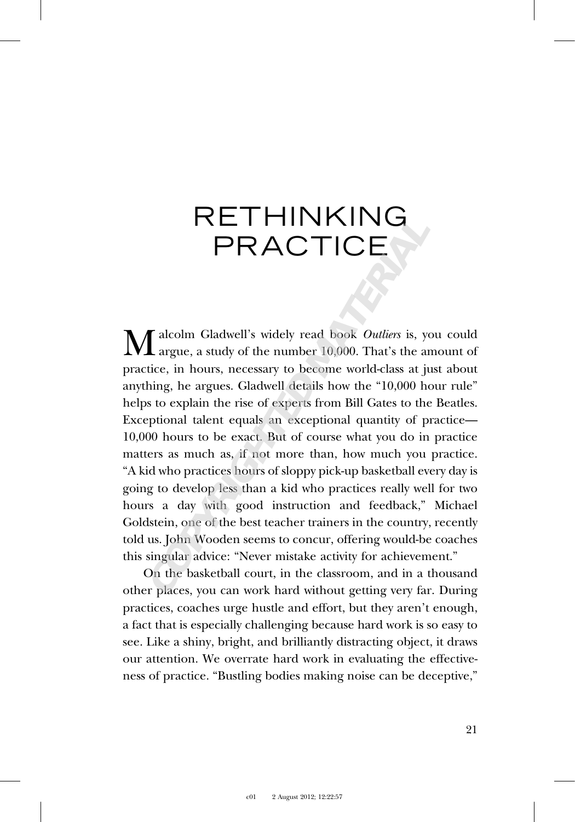# RETHINKING PRACTICE

Malcolm Gladwell's widely read book Outliers is, you could argue, a study of the number 10,000. That's the amount of practice, in hours, necessary to become world-class at just about anything, he argues. Gladwell details how the "10,000 hour rule" helps to explain the rise of experts from Bill Gates to the Beatles. Exceptional talent equals an exceptional quantity of practice— 10,000 hours to be exact. But of course what you do in practice matters as much as, if not more than, how much you practice. "A kid who practices hours of sloppy pick-up basketball every day is going to develop less than a kid who practices really well for two hours a day with good instruction and feedback," Michael Goldstein, one of the best teacher trainers in the country, recently told us. John Wooden seems to concur, offering would-be coaches this singular advice: "Never mistake activity for achievement." *COPYRIGHTED MATERIAL*

On the basketball court, in the classroom, and in a thousand other places, you can work hard without getting very far. During practices, coaches urge hustle and effort, but they aren't enough, a fact that is especially challenging because hard work is so easy to see. Like a shiny, bright, and brilliantly distracting object, it draws our attention. We overrate hard work in evaluating the effectiveness of practice. "Bustling bodies making noise can be deceptive,"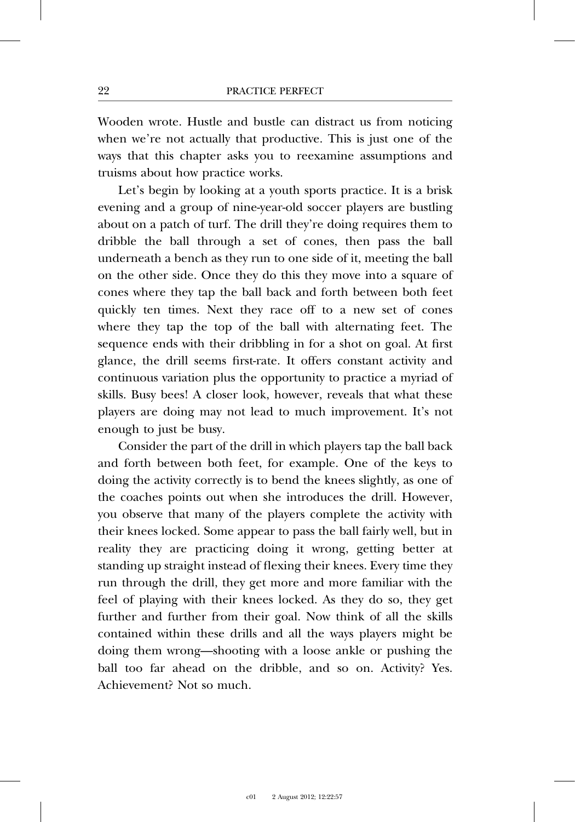Wooden wrote. Hustle and bustle can distract us from noticing when we're not actually that productive. This is just one of the ways that this chapter asks you to reexamine assumptions and truisms about how practice works.

Let's begin by looking at a youth sports practice. It is a brisk evening and a group of nine-year-old soccer players are bustling about on a patch of turf. The drill they're doing requires them to dribble the ball through a set of cones, then pass the ball underneath a bench as they run to one side of it, meeting the ball on the other side. Once they do this they move into a square of cones where they tap the ball back and forth between both feet quickly ten times. Next they race off to a new set of cones where they tap the top of the ball with alternating feet. The sequence ends with their dribbling in for a shot on goal. At first glance, the drill seems first-rate. It offers constant activity and continuous variation plus the opportunity to practice a myriad of skills. Busy bees! A closer look, however, reveals that what these players are doing may not lead to much improvement. It's not enough to just be busy.

Consider the part of the drill in which players tap the ball back and forth between both feet, for example. One of the keys to doing the activity correctly is to bend the knees slightly, as one of the coaches points out when she introduces the drill. However, you observe that many of the players complete the activity with their knees locked. Some appear to pass the ball fairly well, but in reality they are practicing doing it wrong, getting better at standing up straight instead of flexing their knees. Every time they run through the drill, they get more and more familiar with the feel of playing with their knees locked. As they do so, they get further and further from their goal. Now think of all the skills contained within these drills and all the ways players might be doing them wrong—shooting with a loose ankle or pushing the ball too far ahead on the dribble, and so on. Activity? Yes. Achievement? Not so much.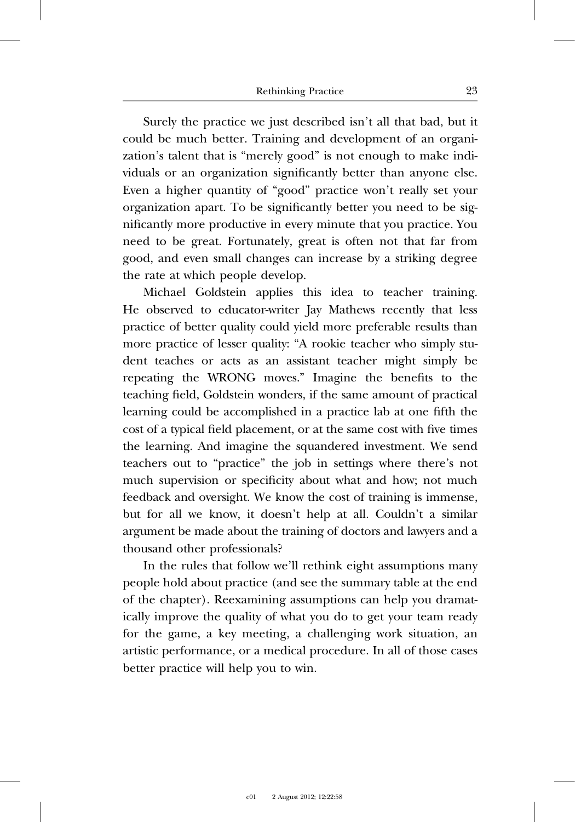Surely the practice we just described isn't all that bad, but it could be much better. Training and development of an organization's talent that is "merely good" is not enough to make individuals or an organization significantly better than anyone else. Even a higher quantity of "good" practice won't really set your organization apart. To be significantly better you need to be significantly more productive in every minute that you practice. You need to be great. Fortunately, great is often not that far from good, and even small changes can increase by a striking degree the rate at which people develop.

Michael Goldstein applies this idea to teacher training. He observed to educator-writer Jay Mathews recently that less practice of better quality could yield more preferable results than more practice of lesser quality: "A rookie teacher who simply student teaches or acts as an assistant teacher might simply be repeating the WRONG moves." Imagine the benefits to the teaching field, Goldstein wonders, if the same amount of practical learning could be accomplished in a practice lab at one fifth the cost of a typical field placement, or at the same cost with five times the learning. And imagine the squandered investment. We send teachers out to "practice" the job in settings where there's not much supervision or specificity about what and how; not much feedback and oversight. We know the cost of training is immense, but for all we know, it doesn't help at all. Couldn't a similar argument be made about the training of doctors and lawyers and a thousand other professionals?

In the rules that follow we'll rethink eight assumptions many people hold about practice (and see the summary table at the end of the chapter). Reexamining assumptions can help you dramatically improve the quality of what you do to get your team ready for the game, a key meeting, a challenging work situation, an artistic performance, or a medical procedure. In all of those cases better practice will help you to win.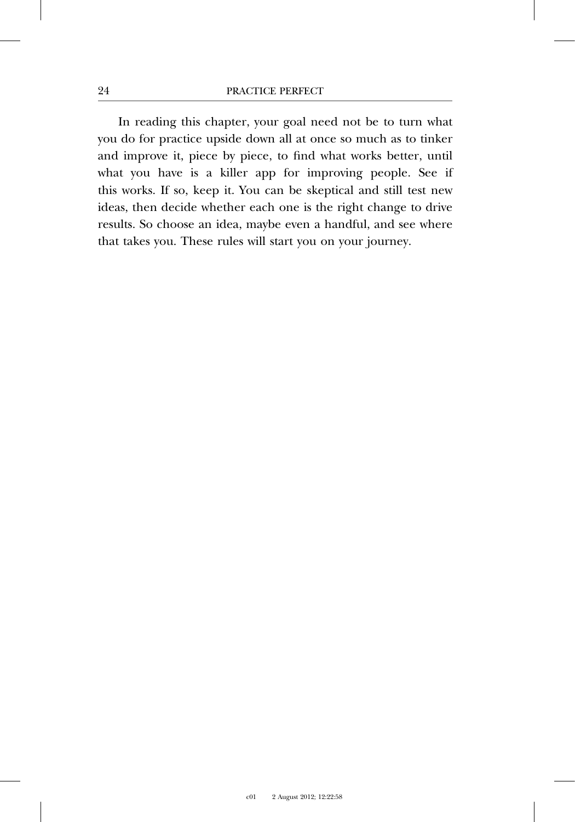In reading this chapter, your goal need not be to turn what you do for practice upside down all at once so much as to tinker and improve it, piece by piece, to find what works better, until what you have is a killer app for improving people. See if this works. If so, keep it. You can be skeptical and still test new ideas, then decide whether each one is the right change to drive results. So choose an idea, maybe even a handful, and see where that takes you. These rules will start you on your journey.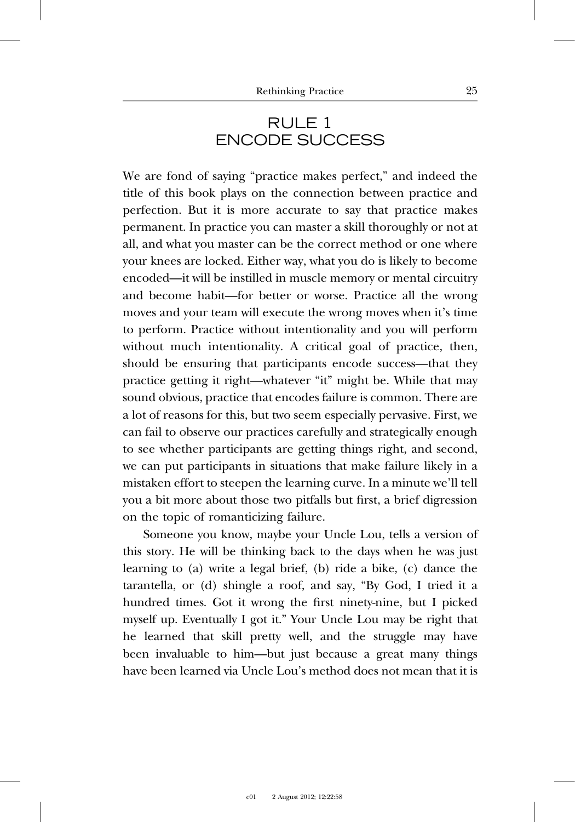# RULE 1 ENCODE SUCCESS

We are fond of saying "practice makes perfect," and indeed the title of this book plays on the connection between practice and perfection. But it is more accurate to say that practice makes permanent. In practice you can master a skill thoroughly or not at all, and what you master can be the correct method or one where your knees are locked. Either way, what you do is likely to become encoded—it will be instilled in muscle memory or mental circuitry and become habit—for better or worse. Practice all the wrong moves and your team will execute the wrong moves when it's time to perform. Practice without intentionality and you will perform without much intentionality. A critical goal of practice, then, should be ensuring that participants encode success—that they practice getting it right—whatever "it" might be. While that may sound obvious, practice that encodes failure is common. There are a lot of reasons for this, but two seem especially pervasive. First, we can fail to observe our practices carefully and strategically enough to see whether participants are getting things right, and second, we can put participants in situations that make failure likely in a mistaken effort to steepen the learning curve. In a minute we'll tell you a bit more about those two pitfalls but first, a brief digression on the topic of romanticizing failure.

Someone you know, maybe your Uncle Lou, tells a version of this story. He will be thinking back to the days when he was just learning to (a) write a legal brief, (b) ride a bike, (c) dance the tarantella, or (d) shingle a roof, and say, "By God, I tried it a hundred times. Got it wrong the first ninety-nine, but I picked myself up. Eventually I got it." Your Uncle Lou may be right that he learned that skill pretty well, and the struggle may have been invaluable to him—but just because a great many things have been learned via Uncle Lou's method does not mean that it is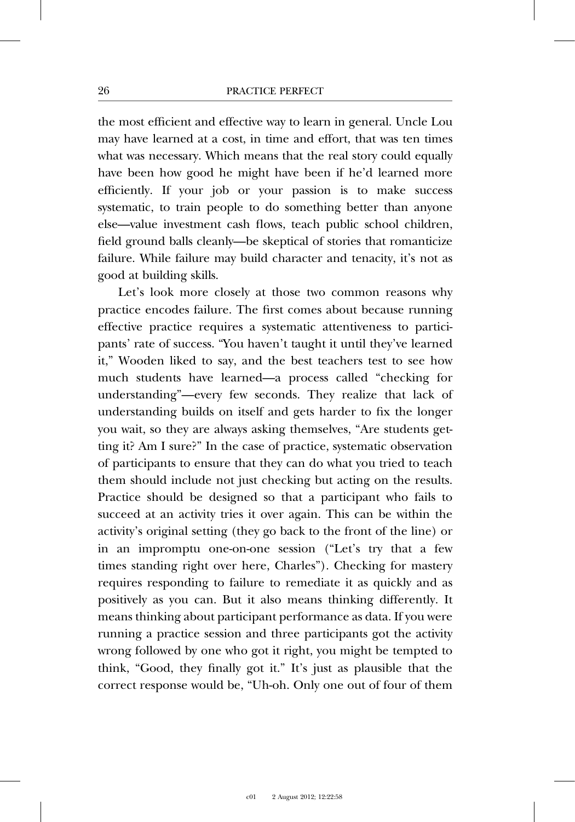### 26 PRACTICE PERFECT

the most efficient and effective way to learn in general. Uncle Lou may have learned at a cost, in time and effort, that was ten times what was necessary. Which means that the real story could equally have been how good he might have been if he'd learned more efficiently. If your job or your passion is to make success systematic, to train people to do something better than anyone else—value investment cash flows, teach public school children, field ground balls cleanly—be skeptical of stories that romanticize failure. While failure may build character and tenacity, it's not as good at building skills.

Let's look more closely at those two common reasons why practice encodes failure. The first comes about because running effective practice requires a systematic attentiveness to participants' rate of success. "You haven't taught it until they've learned it," Wooden liked to say, and the best teachers test to see how much students have learned—a process called "checking for understanding"—every few seconds. They realize that lack of understanding builds on itself and gets harder to fix the longer you wait, so they are always asking themselves, "Are students getting it? Am I sure?" In the case of practice, systematic observation of participants to ensure that they can do what you tried to teach them should include not just checking but acting on the results. Practice should be designed so that a participant who fails to succeed at an activity tries it over again. This can be within the activity's original setting (they go back to the front of the line) or in an impromptu one-on-one session ("Let's try that a few times standing right over here, Charles"). Checking for mastery requires responding to failure to remediate it as quickly and as positively as you can. But it also means thinking differently. It means thinking about participant performance as data. If you were running a practice session and three participants got the activity wrong followed by one who got it right, you might be tempted to think, "Good, they finally got it." It's just as plausible that the correct response would be, "Uh-oh. Only one out of four of them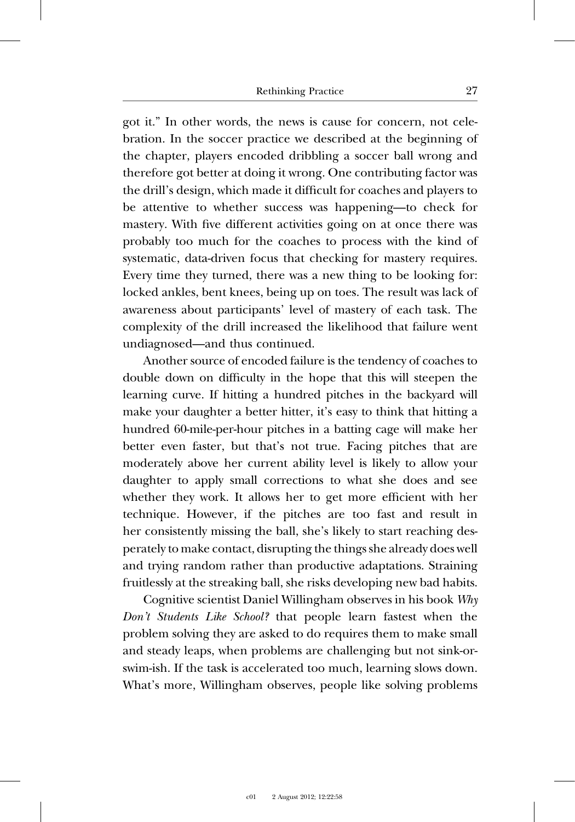got it." In other words, the news is cause for concern, not celebration. In the soccer practice we described at the beginning of the chapter, players encoded dribbling a soccer ball wrong and therefore got better at doing it wrong. One contributing factor was the drill's design, which made it difficult for coaches and players to be attentive to whether success was happening—to check for mastery. With five different activities going on at once there was probably too much for the coaches to process with the kind of systematic, data-driven focus that checking for mastery requires. Every time they turned, there was a new thing to be looking for: locked ankles, bent knees, being up on toes. The result was lack of awareness about participants' level of mastery of each task. The complexity of the drill increased the likelihood that failure went undiagnosed—and thus continued.

Another source of encoded failure is the tendency of coaches to double down on difficulty in the hope that this will steepen the learning curve. If hitting a hundred pitches in the backyard will make your daughter a better hitter, it's easy to think that hitting a hundred 60-mile-per-hour pitches in a batting cage will make her better even faster, but that's not true. Facing pitches that are moderately above her current ability level is likely to allow your daughter to apply small corrections to what she does and see whether they work. It allows her to get more efficient with her technique. However, if the pitches are too fast and result in her consistently missing the ball, she's likely to start reaching desperately to make contact, disrupting the things she already does well and trying random rather than productive adaptations. Straining fruitlessly at the streaking ball, she risks developing new bad habits.

Cognitive scientist Daniel Willingham observes in his book Why Don't Students Like School? that people learn fastest when the problem solving they are asked to do requires them to make small and steady leaps, when problems are challenging but not sink-orswim-ish. If the task is accelerated too much, learning slows down. What's more, Willingham observes, people like solving problems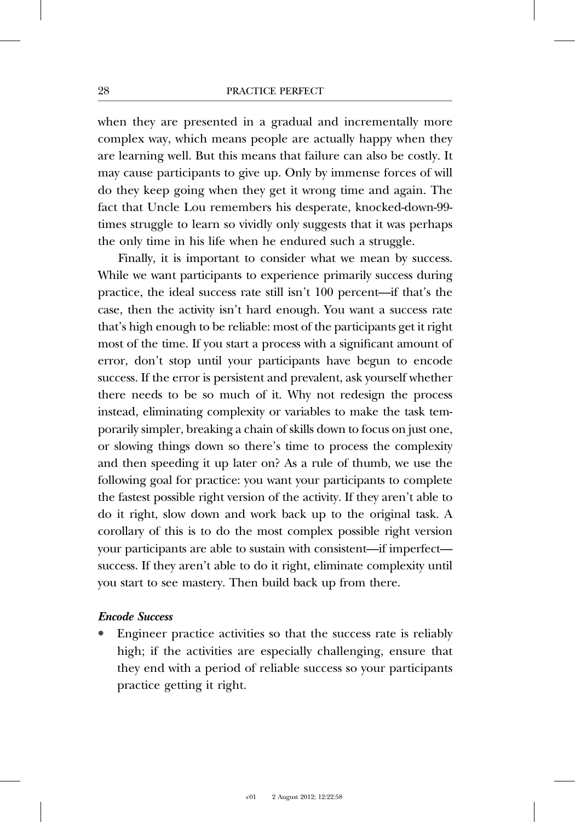### 28 PRACTICE PERFECT

when they are presented in a gradual and incrementally more complex way, which means people are actually happy when they are learning well. But this means that failure can also be costly. It may cause participants to give up. Only by immense forces of will do they keep going when they get it wrong time and again. The fact that Uncle Lou remembers his desperate, knocked-down-99 times struggle to learn so vividly only suggests that it was perhaps the only time in his life when he endured such a struggle.

Finally, it is important to consider what we mean by success. While we want participants to experience primarily success during practice, the ideal success rate still isn't 100 percent—if that's the case, then the activity isn't hard enough. You want a success rate that's high enough to be reliable: most of the participants get it right most of the time. If you start a process with a significant amount of error, don't stop until your participants have begun to encode success. If the error is persistent and prevalent, ask yourself whether there needs to be so much of it. Why not redesign the process instead, eliminating complexity or variables to make the task temporarily simpler, breaking a chain of skills down to focus on just one, or slowing things down so there's time to process the complexity and then speeding it up later on? As a rule of thumb, we use the following goal for practice: you want your participants to complete the fastest possible right version of the activity. If they aren't able to do it right, slow down and work back up to the original task. A corollary of this is to do the most complex possible right version your participants are able to sustain with consistent—if imperfect success. If they aren't able to do it right, eliminate complexity until you start to see mastery. Then build back up from there.

### Encode Success

 Engineer practice activities so that the success rate is reliably high; if the activities are especially challenging, ensure that they end with a period of reliable success so your participants practice getting it right.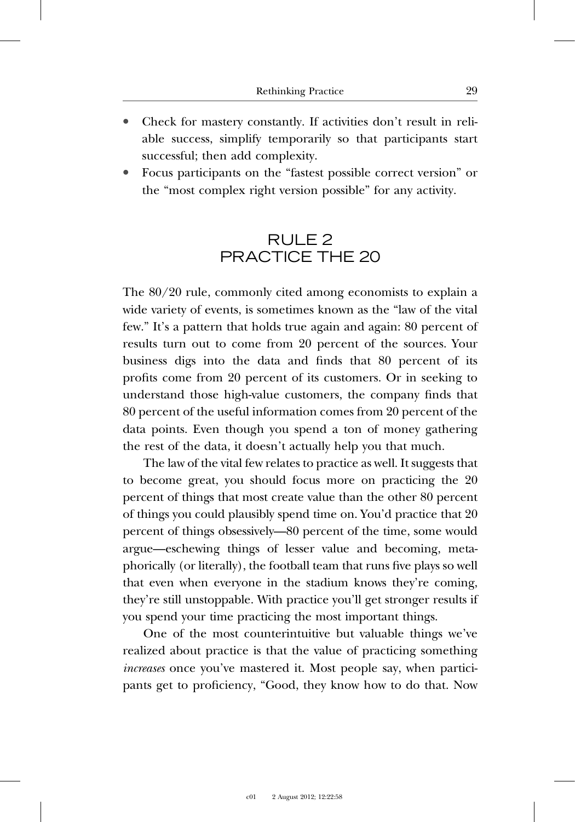- Check for mastery constantly. If activities don't result in reliable success, simplify temporarily so that participants start successful; then add complexity.
- Focus participants on the "fastest possible correct version" or the "most complex right version possible" for any activity.

# RULE 2 PRACTICE THE 20

The 80/20 rule, commonly cited among economists to explain a wide variety of events, is sometimes known as the "law of the vital few." It's a pattern that holds true again and again: 80 percent of results turn out to come from 20 percent of the sources. Your business digs into the data and finds that 80 percent of its profits come from 20 percent of its customers. Or in seeking to understand those high-value customers, the company finds that 80 percent of the useful information comes from 20 percent of the data points. Even though you spend a ton of money gathering the rest of the data, it doesn't actually help you that much.

The law of the vital few relates to practice as well. It suggests that to become great, you should focus more on practicing the 20 percent of things that most create value than the other 80 percent of things you could plausibly spend time on. You'd practice that 20 percent of things obsessively—80 percent of the time, some would argue—eschewing things of lesser value and becoming, metaphorically (or literally), the football team that runs five plays so well that even when everyone in the stadium knows they're coming, they're still unstoppable. With practice you'll get stronger results if you spend your time practicing the most important things.

One of the most counterintuitive but valuable things we've realized about practice is that the value of practicing something increases once you've mastered it. Most people say, when participants get to proficiency, "Good, they know how to do that. Now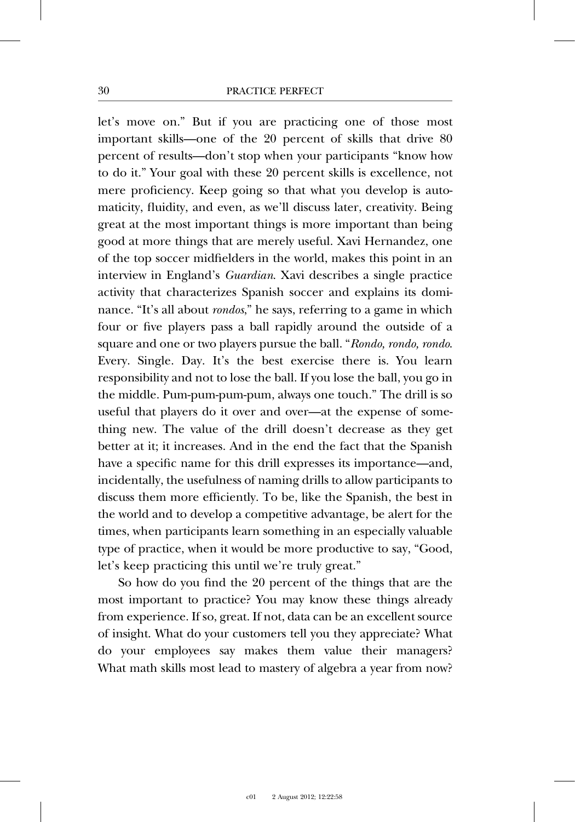### 30 PRACTICE PERFECT

let's move on." But if you are practicing one of those most important skills—one of the 20 percent of skills that drive 80 percent of results—don't stop when your participants "know how to do it." Your goal with these 20 percent skills is excellence, not mere proficiency. Keep going so that what you develop is automaticity, fluidity, and even, as we'll discuss later, creativity. Being great at the most important things is more important than being good at more things that are merely useful. Xavi Hernandez, one of the top soccer midfielders in the world, makes this point in an interview in England's Guardian. Xavi describes a single practice activity that characterizes Spanish soccer and explains its dominance. "It's all about *rondos*," he says, referring to a game in which four or five players pass a ball rapidly around the outside of a square and one or two players pursue the ball. "Rondo, rondo, rondo. Every. Single. Day. It's the best exercise there is. You learn responsibility and not to lose the ball. If you lose the ball, you go in the middle. Pum-pum-pum-pum, always one touch." The drill is so useful that players do it over and over—at the expense of something new. The value of the drill doesn't decrease as they get better at it; it increases. And in the end the fact that the Spanish have a specific name for this drill expresses its importance—and, incidentally, the usefulness of naming drills to allow participants to discuss them more efficiently. To be, like the Spanish, the best in the world and to develop a competitive advantage, be alert for the times, when participants learn something in an especially valuable type of practice, when it would be more productive to say, "Good, let's keep practicing this until we're truly great."

So how do you find the 20 percent of the things that are the most important to practice? You may know these things already from experience. If so, great. If not, data can be an excellent source of insight. What do your customers tell you they appreciate? What do your employees say makes them value their managers? What math skills most lead to mastery of algebra a year from now?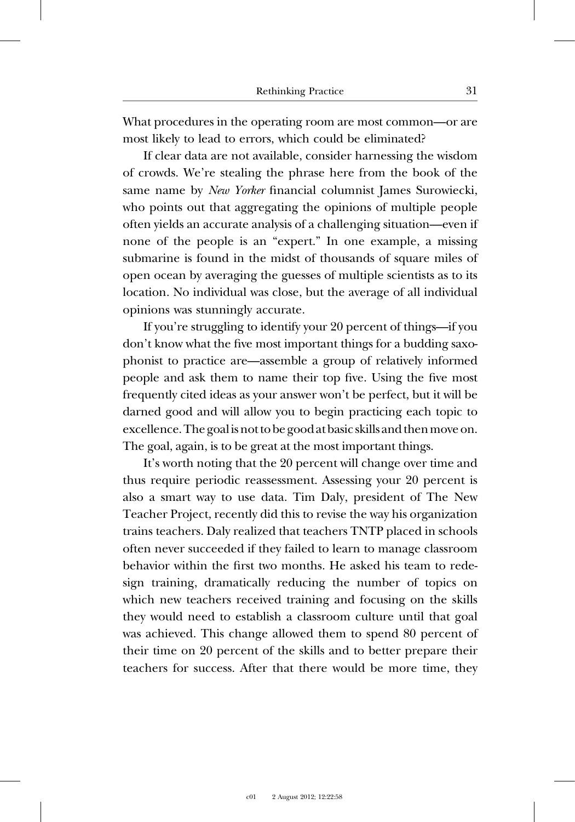What procedures in the operating room are most common—or are most likely to lead to errors, which could be eliminated?

If clear data are not available, consider harnessing the wisdom of crowds. We're stealing the phrase here from the book of the same name by New Yorker financial columnist James Surowiecki, who points out that aggregating the opinions of multiple people often yields an accurate analysis of a challenging situation—even if none of the people is an "expert." In one example, a missing submarine is found in the midst of thousands of square miles of open ocean by averaging the guesses of multiple scientists as to its location. No individual was close, but the average of all individual opinions was stunningly accurate.

If you're struggling to identify your 20 percent of things—if you don't know what the five most important things for a budding saxophonist to practice are—assemble a group of relatively informed people and ask them to name their top five. Using the five most frequently cited ideas as your answer won't be perfect, but it will be darned good and will allow you to begin practicing each topic to excellence. The goal is not to be good at basic skills and then move on. The goal, again, is to be great at the most important things.

It's worth noting that the 20 percent will change over time and thus require periodic reassessment. Assessing your 20 percent is also a smart way to use data. Tim Daly, president of The New Teacher Project, recently did this to revise the way his organization trains teachers. Daly realized that teachers TNTP placed in schools often never succeeded if they failed to learn to manage classroom behavior within the first two months. He asked his team to redesign training, dramatically reducing the number of topics on which new teachers received training and focusing on the skills they would need to establish a classroom culture until that goal was achieved. This change allowed them to spend 80 percent of their time on 20 percent of the skills and to better prepare their teachers for success. After that there would be more time, they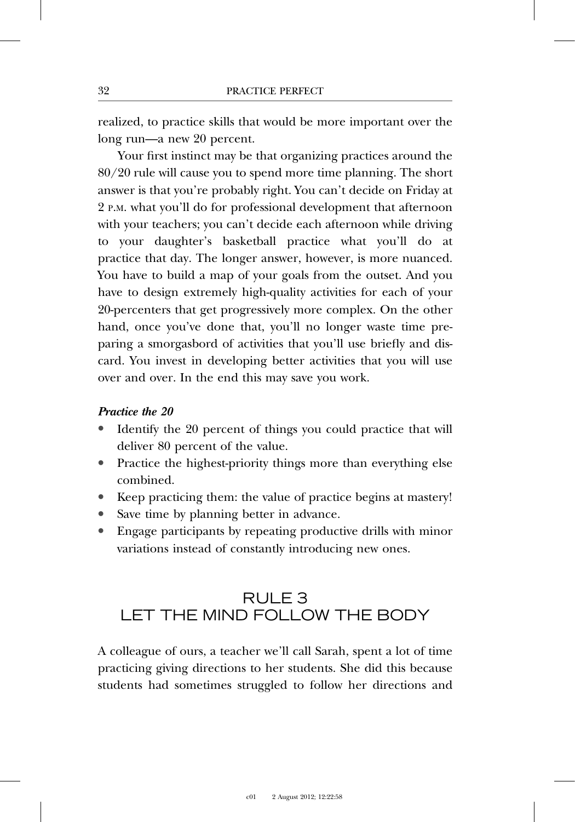realized, to practice skills that would be more important over the long run—a new 20 percent.

Your first instinct may be that organizing practices around the 80/20 rule will cause you to spend more time planning. The short answer is that you're probably right. You can't decide on Friday at 2 P.M. what you'll do for professional development that afternoon with your teachers; you can't decide each afternoon while driving to your daughter's basketball practice what you'll do at practice that day. The longer answer, however, is more nuanced. You have to build a map of your goals from the outset. And you have to design extremely high-quality activities for each of your 20-percenters that get progressively more complex. On the other hand, once you've done that, you'll no longer waste time preparing a smorgasbord of activities that you'll use briefly and discard. You invest in developing better activities that you will use over and over. In the end this may save you work.

### Practice the 20

- Identify the 20 percent of things you could practice that will deliver 80 percent of the value.
- Practice the highest-priority things more than everything else combined.
- Keep practicing them: the value of practice begins at mastery!
- Save time by planning better in advance.
- Engage participants by repeating productive drills with minor variations instead of constantly introducing new ones.

# RULE 3 LET THE MIND FOLLOW THE BODY

A colleague of ours, a teacher we'll call Sarah, spent a lot of time practicing giving directions to her students. She did this because students had sometimes struggled to follow her directions and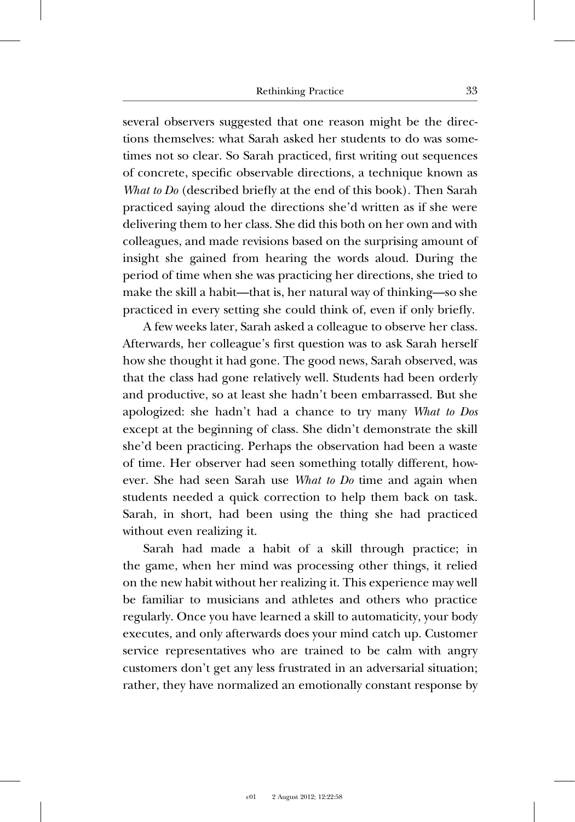several observers suggested that one reason might be the directions themselves: what Sarah asked her students to do was sometimes not so clear. So Sarah practiced, first writing out sequences of concrete, specific observable directions, a technique known as What to Do (described briefly at the end of this book). Then Sarah practiced saying aloud the directions she'd written as if she were delivering them to her class. She did this both on her own and with colleagues, and made revisions based on the surprising amount of insight she gained from hearing the words aloud. During the period of time when she was practicing her directions, she tried to make the skill a habit—that is, her natural way of thinking—so she practiced in every setting she could think of, even if only briefly.

A few weeks later, Sarah asked a colleague to observe her class. Afterwards, her colleague's first question was to ask Sarah herself how she thought it had gone. The good news, Sarah observed, was that the class had gone relatively well. Students had been orderly and productive, so at least she hadn't been embarrassed. But she apologized: she hadn't had a chance to try many What to Dos except at the beginning of class. She didn't demonstrate the skill she'd been practicing. Perhaps the observation had been a waste of time. Her observer had seen something totally different, however. She had seen Sarah use What to Do time and again when students needed a quick correction to help them back on task. Sarah, in short, had been using the thing she had practiced without even realizing it.

Sarah had made a habit of a skill through practice; in the game, when her mind was processing other things, it relied on the new habit without her realizing it. This experience may well be familiar to musicians and athletes and others who practice regularly. Once you have learned a skill to automaticity, your body executes, and only afterwards does your mind catch up. Customer service representatives who are trained to be calm with angry customers don't get any less frustrated in an adversarial situation; rather, they have normalized an emotionally constant response by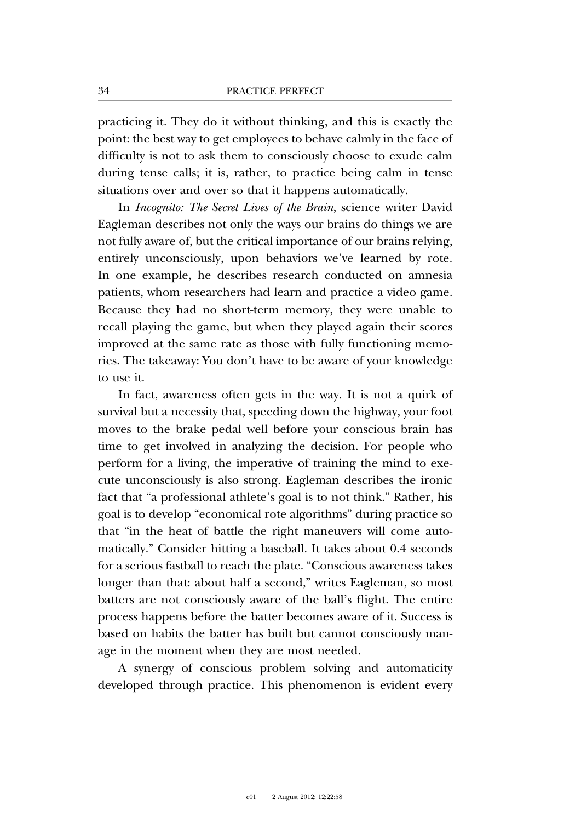### 34 PRACTICE PERFECT

practicing it. They do it without thinking, and this is exactly the point: the best way to get employees to behave calmly in the face of difficulty is not to ask them to consciously choose to exude calm during tense calls; it is, rather, to practice being calm in tense situations over and over so that it happens automatically.

In Incognito: The Secret Lives of the Brain, science writer David Eagleman describes not only the ways our brains do things we are not fully aware of, but the critical importance of our brains relying, entirely unconsciously, upon behaviors we've learned by rote. In one example, he describes research conducted on amnesia patients, whom researchers had learn and practice a video game. Because they had no short-term memory, they were unable to recall playing the game, but when they played again their scores improved at the same rate as those with fully functioning memories. The takeaway: You don't have to be aware of your knowledge to use it.

In fact, awareness often gets in the way. It is not a quirk of survival but a necessity that, speeding down the highway, your foot moves to the brake pedal well before your conscious brain has time to get involved in analyzing the decision. For people who perform for a living, the imperative of training the mind to execute unconsciously is also strong. Eagleman describes the ironic fact that "a professional athlete's goal is to not think." Rather, his goal is to develop "economical rote algorithms" during practice so that "in the heat of battle the right maneuvers will come automatically." Consider hitting a baseball. It takes about 0.4 seconds for a serious fastball to reach the plate. "Conscious awareness takes longer than that: about half a second," writes Eagleman, so most batters are not consciously aware of the ball's flight. The entire process happens before the batter becomes aware of it. Success is based on habits the batter has built but cannot consciously manage in the moment when they are most needed.

A synergy of conscious problem solving and automaticity developed through practice. This phenomenon is evident every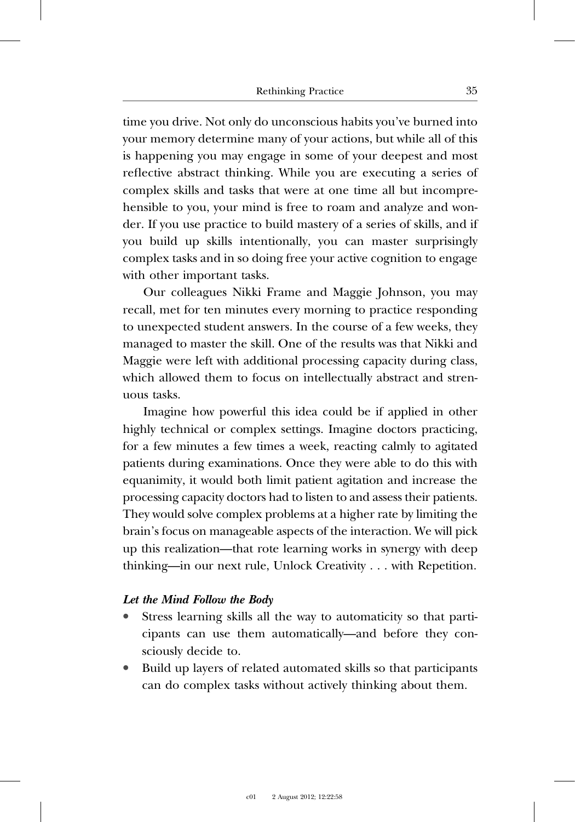time you drive. Not only do unconscious habits you've burned into your memory determine many of your actions, but while all of this is happening you may engage in some of your deepest and most reflective abstract thinking. While you are executing a series of complex skills and tasks that were at one time all but incomprehensible to you, your mind is free to roam and analyze and wonder. If you use practice to build mastery of a series of skills, and if you build up skills intentionally, you can master surprisingly complex tasks and in so doing free your active cognition to engage with other important tasks.

Our colleagues Nikki Frame and Maggie Johnson, you may recall, met for ten minutes every morning to practice responding to unexpected student answers. In the course of a few weeks, they managed to master the skill. One of the results was that Nikki and Maggie were left with additional processing capacity during class, which allowed them to focus on intellectually abstract and strenuous tasks.

Imagine how powerful this idea could be if applied in other highly technical or complex settings. Imagine doctors practicing, for a few minutes a few times a week, reacting calmly to agitated patients during examinations. Once they were able to do this with equanimity, it would both limit patient agitation and increase the processing capacity doctors had to listen to and assess their patients. They would solve complex problems at a higher rate by limiting the brain's focus on manageable aspects of the interaction. We will pick up this realization—that rote learning works in synergy with deep thinking—in our next rule, Unlock Creativity . . . with Repetition.

### Let the Mind Follow the Body

- Stress learning skills all the way to automaticity so that participants can use them automatically—and before they consciously decide to.
- Build up layers of related automated skills so that participants can do complex tasks without actively thinking about them.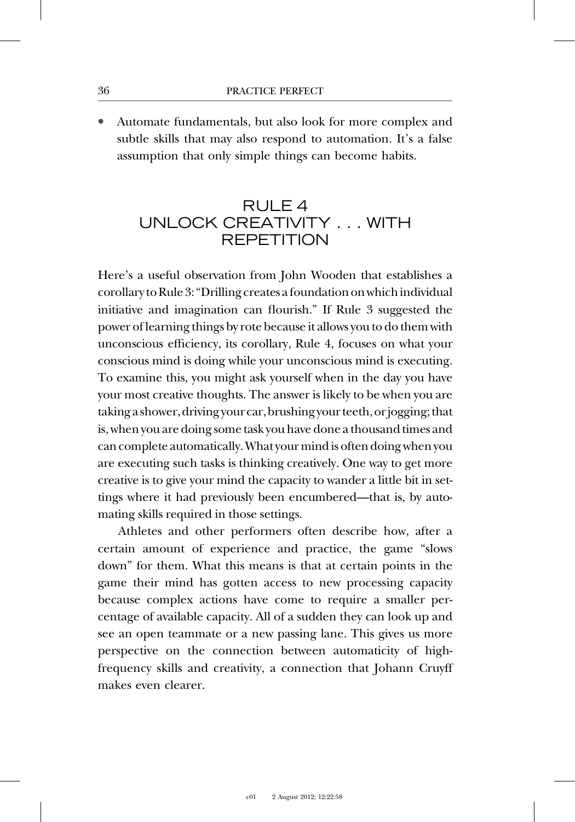Automate fundamentals, but also look for more complex and subtle skills that may also respond to automation. It's a false assumption that only simple things can become habits.

# $R$ ULF4 UNLOCK CREATIVITY . . . WITH REPETITION

Here's a useful observation from John Wooden that establishes a corollary to Rule 3: "Drilling creates a foundation on which individual initiative and imagination can flourish." If Rule 3 suggested the power of learning things by rote because it allows you to do them with unconscious efficiency, its corollary, Rule 4, focuses on what your conscious mind is doing while your unconscious mind is executing. To examine this, you might ask yourself when in the day you have your most creative thoughts. The answer is likely to be when you are taking a shower, driving your car, brushing your teeth, orjogging; that is, when you are doing some task you have done a thousand times and can complete automatically.What yourmind is often doing when you are executing such tasks is thinking creatively. One way to get more creative is to give your mind the capacity to wander a little bit in settings where it had previously been encumbered—that is, by automating skills required in those settings.

Athletes and other performers often describe how, after a certain amount of experience and practice, the game "slows down" for them. What this means is that at certain points in the game their mind has gotten access to new processing capacity because complex actions have come to require a smaller percentage of available capacity. All of a sudden they can look up and see an open teammate or a new passing lane. This gives us more perspective on the connection between automaticity of highfrequency skills and creativity, a connection that Johann Cruyff makes even clearer.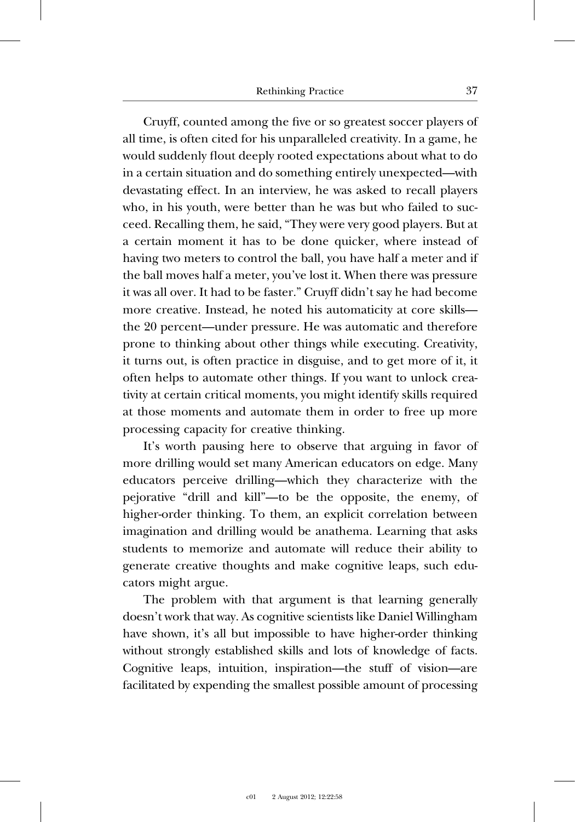Cruyff, counted among the five or so greatest soccer players of all time, is often cited for his unparalleled creativity. In a game, he would suddenly flout deeply rooted expectations about what to do in a certain situation and do something entirely unexpected—with devastating effect. In an interview, he was asked to recall players who, in his youth, were better than he was but who failed to succeed. Recalling them, he said, "They were very good players. But at a certain moment it has to be done quicker, where instead of having two meters to control the ball, you have half a meter and if the ball moves half a meter, you've lost it. When there was pressure it was all over. It had to be faster." Cruyff didn't say he had become more creative. Instead, he noted his automaticity at core skills the 20 percent—under pressure. He was automatic and therefore prone to thinking about other things while executing. Creativity, it turns out, is often practice in disguise, and to get more of it, it often helps to automate other things. If you want to unlock creativity at certain critical moments, you might identify skills required at those moments and automate them in order to free up more processing capacity for creative thinking.

It's worth pausing here to observe that arguing in favor of more drilling would set many American educators on edge. Many educators perceive drilling—which they characterize with the pejorative "drill and kill"—to be the opposite, the enemy, of higher-order thinking. To them, an explicit correlation between imagination and drilling would be anathema. Learning that asks students to memorize and automate will reduce their ability to generate creative thoughts and make cognitive leaps, such educators might argue.

The problem with that argument is that learning generally doesn't work that way. As cognitive scientists like Daniel Willingham have shown, it's all but impossible to have higher-order thinking without strongly established skills and lots of knowledge of facts. Cognitive leaps, intuition, inspiration—the stuff of vision—are facilitated by expending the smallest possible amount of processing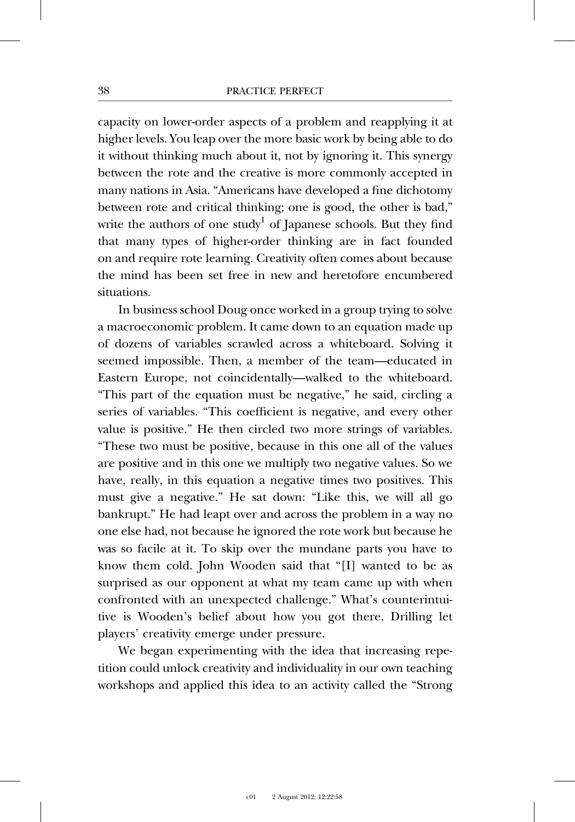### 38 PRACTICE PERFECT

capacity on lower-order aspects of a problem and reapplying it at higher levels. You leap over the more basic work by being able to do it without thinking much about it, not by ignoring it. This synergy between the rote and the creative is more commonly accepted in many nations in Asia. "Americans have developed a fine dichotomy between rote and critical thinking; one is good, the other is bad," write the authors of one study<sup>1</sup> of Japanese schools. But they find that many types of higher-order thinking are in fact founded on and require rote learning. Creativity often comes about because the mind has been set free in new and heretofore encumbered situations.

In business school Doug once worked in a group trying to solve a macroeconomic problem. It came down to an equation made up of dozens of variables scrawled across a whiteboard. Solving it seemed impossible. Then, a member of the team—educated in Eastern Europe, not coincidentally—walked to the whiteboard. "This part of the equation must be negative," he said, circling a series of variables. "This coefficient is negative, and every other value is positive." He then circled two more strings of variables. "These two must be positive, because in this one all of the values are positive and in this one we multiply two negative values. So we have, really, in this equation a negative times two positives. This must give a negative." He sat down: "Like this, we will all go bankrupt." He had leapt over and across the problem in a way no one else had, not because he ignored the rote work but because he was so facile at it. To skip over the mundane parts you have to know them cold. John Wooden said that "[I] wanted to be as surprised as our opponent at what my team came up with when confronted with an unexpected challenge." What's counterintuitive is Wooden's belief about how you got there. Drilling let players' creativity emerge under pressure.

We began experimenting with the idea that increasing repetition could unlock creativity and individuality in our own teaching workshops and applied this idea to an activity called the "Strong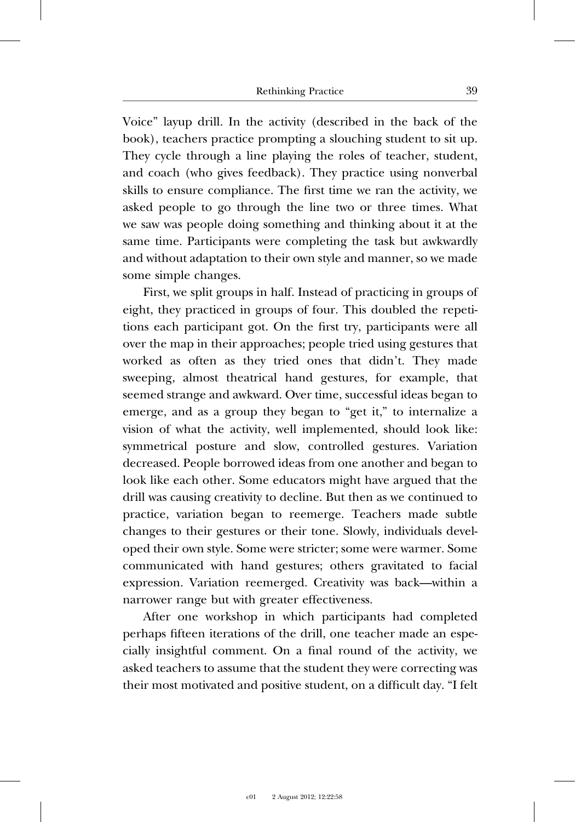Rethinking Practice 39

Voice" layup drill. In the activity (described in the back of the book), teachers practice prompting a slouching student to sit up. They cycle through a line playing the roles of teacher, student, and coach (who gives feedback). They practice using nonverbal skills to ensure compliance. The first time we ran the activity, we asked people to go through the line two or three times. What we saw was people doing something and thinking about it at the same time. Participants were completing the task but awkwardly and without adaptation to their own style and manner, so we made some simple changes.

First, we split groups in half. Instead of practicing in groups of eight, they practiced in groups of four. This doubled the repetitions each participant got. On the first try, participants were all over the map in their approaches; people tried using gestures that worked as often as they tried ones that didn't. They made sweeping, almost theatrical hand gestures, for example, that seemed strange and awkward. Over time, successful ideas began to emerge, and as a group they began to "get it," to internalize a vision of what the activity, well implemented, should look like: symmetrical posture and slow, controlled gestures. Variation decreased. People borrowed ideas from one another and began to look like each other. Some educators might have argued that the drill was causing creativity to decline. But then as we continued to practice, variation began to reemerge. Teachers made subtle changes to their gestures or their tone. Slowly, individuals developed their own style. Some were stricter; some were warmer. Some communicated with hand gestures; others gravitated to facial expression. Variation reemerged. Creativity was back—within a narrower range but with greater effectiveness.

After one workshop in which participants had completed perhaps fifteen iterations of the drill, one teacher made an especially insightful comment. On a final round of the activity, we asked teachers to assume that the student they were correcting was their most motivated and positive student, on a difficult day. "I felt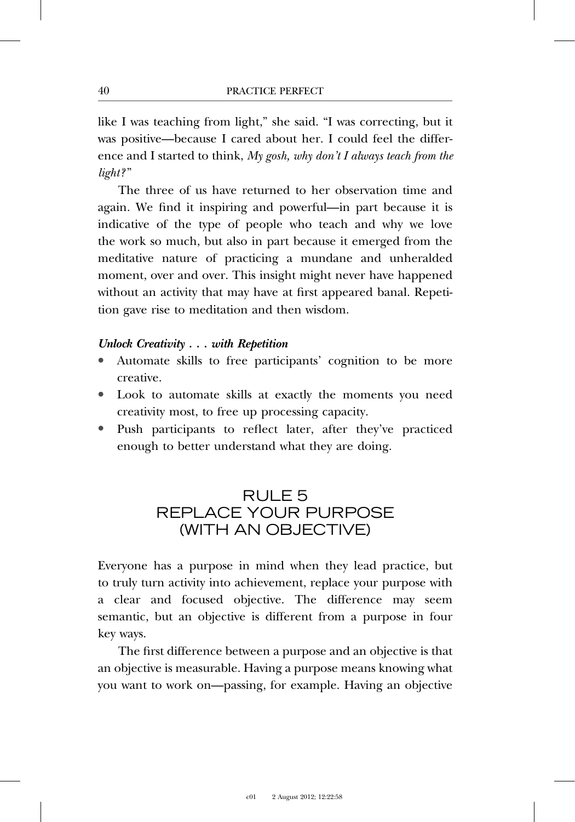like I was teaching from light," she said. "I was correcting, but it was positive—because I cared about her. I could feel the difference and I started to think, My gosh, why don't I always teach from the light?"

The three of us have returned to her observation time and again. We find it inspiring and powerful—in part because it is indicative of the type of people who teach and why we love the work so much, but also in part because it emerged from the meditative nature of practicing a mundane and unheralded moment, over and over. This insight might never have happened without an activity that may have at first appeared banal. Repetition gave rise to meditation and then wisdom.

### Unlock Creativity . . . with Repetition

- Automate skills to free participants' cognition to be more creative.
- Look to automate skills at exactly the moments you need creativity most, to free up processing capacity.
- Push participants to reflect later, after they've practiced enough to better understand what they are doing.

# RULF<sub>5</sub> REPLACE YOUR PURPOSE (WITH AN OBJECTIVE)

Everyone has a purpose in mind when they lead practice, but to truly turn activity into achievement, replace your purpose with a clear and focused objective. The difference may seem semantic, but an objective is different from a purpose in four key ways.

The first difference between a purpose and an objective is that an objective is measurable. Having a purpose means knowing what you want to work on—passing, for example. Having an objective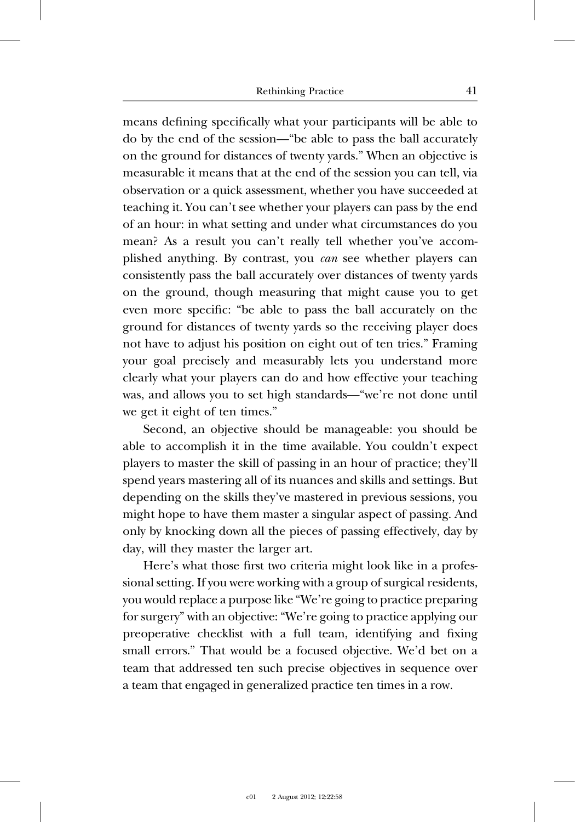means defining specifically what your participants will be able to do by the end of the session—"be able to pass the ball accurately on the ground for distances of twenty yards." When an objective is measurable it means that at the end of the session you can tell, via observation or a quick assessment, whether you have succeeded at teaching it. You can't see whether your players can pass by the end of an hour: in what setting and under what circumstances do you mean? As a result you can't really tell whether you've accomplished anything. By contrast, you can see whether players can consistently pass the ball accurately over distances of twenty yards on the ground, though measuring that might cause you to get even more specific: "be able to pass the ball accurately on the ground for distances of twenty yards so the receiving player does not have to adjust his position on eight out of ten tries." Framing your goal precisely and measurably lets you understand more clearly what your players can do and how effective your teaching was, and allows you to set high standards—"we're not done until we get it eight of ten times."

Second, an objective should be manageable: you should be able to accomplish it in the time available. You couldn't expect players to master the skill of passing in an hour of practice; they'll spend years mastering all of its nuances and skills and settings. But depending on the skills they've mastered in previous sessions, you might hope to have them master a singular aspect of passing. And only by knocking down all the pieces of passing effectively, day by day, will they master the larger art.

Here's what those first two criteria might look like in a professional setting. If you were working with a group of surgical residents, you would replace a purpose like "We're going to practice preparing for surgery" with an objective: "We're going to practice applying our preoperative checklist with a full team, identifying and fixing small errors." That would be a focused objective. We'd bet on a team that addressed ten such precise objectives in sequence over a team that engaged in generalized practice ten times in a row.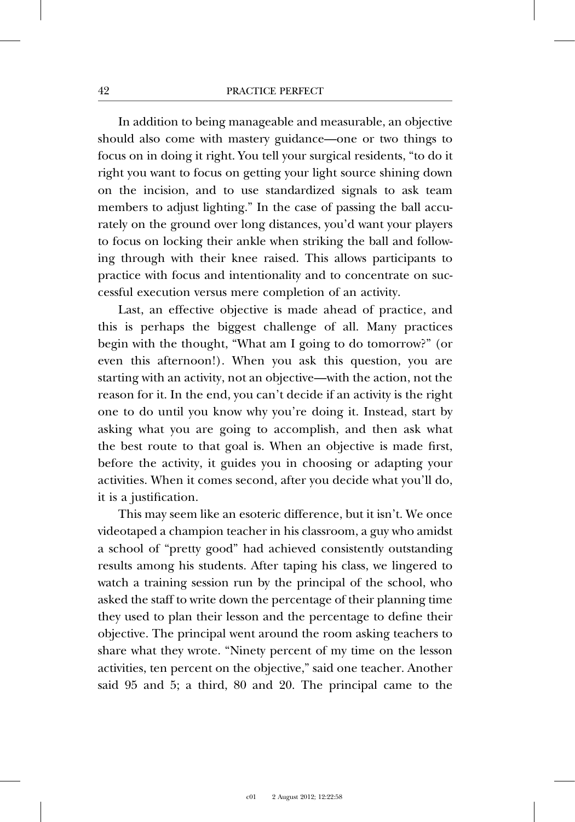In addition to being manageable and measurable, an objective should also come with mastery guidance—one or two things to focus on in doing it right. You tell your surgical residents, "to do it right you want to focus on getting your light source shining down on the incision, and to use standardized signals to ask team members to adjust lighting." In the case of passing the ball accurately on the ground over long distances, you'd want your players to focus on locking their ankle when striking the ball and following through with their knee raised. This allows participants to practice with focus and intentionality and to concentrate on successful execution versus mere completion of an activity.

Last, an effective objective is made ahead of practice, and this is perhaps the biggest challenge of all. Many practices begin with the thought, "What am I going to do tomorrow?" (or even this afternoon!). When you ask this question, you are starting with an activity, not an objective—with the action, not the reason for it. In the end, you can't decide if an activity is the right one to do until you know why you're doing it. Instead, start by asking what you are going to accomplish, and then ask what the best route to that goal is. When an objective is made first, before the activity, it guides you in choosing or adapting your activities. When it comes second, after you decide what you'll do, it is a justification.

This may seem like an esoteric difference, but it isn't. We once videotaped a champion teacher in his classroom, a guy who amidst a school of "pretty good" had achieved consistently outstanding results among his students. After taping his class, we lingered to watch a training session run by the principal of the school, who asked the staff to write down the percentage of their planning time they used to plan their lesson and the percentage to define their objective. The principal went around the room asking teachers to share what they wrote. "Ninety percent of my time on the lesson activities, ten percent on the objective," said one teacher. Another said 95 and 5; a third, 80 and 20. The principal came to the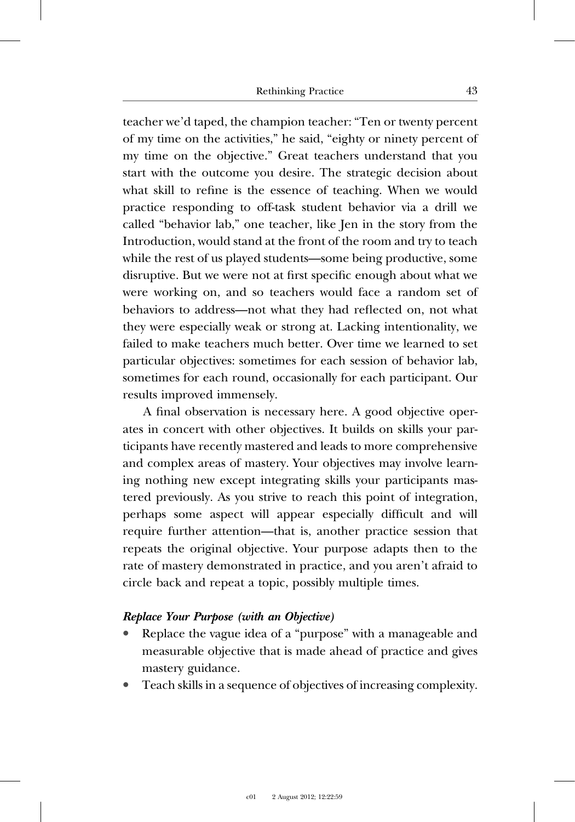teacher we'd taped, the champion teacher: "Ten or twenty percent of my time on the activities," he said, "eighty or ninety percent of my time on the objective." Great teachers understand that you start with the outcome you desire. The strategic decision about what skill to refine is the essence of teaching. When we would practice responding to off-task student behavior via a drill we called "behavior lab," one teacher, like Jen in the story from the Introduction, would stand at the front of the room and try to teach while the rest of us played students—some being productive, some disruptive. But we were not at first specific enough about what we were working on, and so teachers would face a random set of behaviors to address—not what they had reflected on, not what they were especially weak or strong at. Lacking intentionality, we failed to make teachers much better. Over time we learned to set particular objectives: sometimes for each session of behavior lab, sometimes for each round, occasionally for each participant. Our results improved immensely.

A final observation is necessary here. A good objective operates in concert with other objectives. It builds on skills your participants have recently mastered and leads to more comprehensive and complex areas of mastery. Your objectives may involve learning nothing new except integrating skills your participants mastered previously. As you strive to reach this point of integration, perhaps some aspect will appear especially difficult and will require further attention—that is, another practice session that repeats the original objective. Your purpose adapts then to the rate of mastery demonstrated in practice, and you aren't afraid to circle back and repeat a topic, possibly multiple times.

### Replace Your Purpose (with an Objective)

- Replace the vague idea of a "purpose" with a manageable and measurable objective that is made ahead of practice and gives mastery guidance.
- Teach skills in a sequence of objectives of increasing complexity.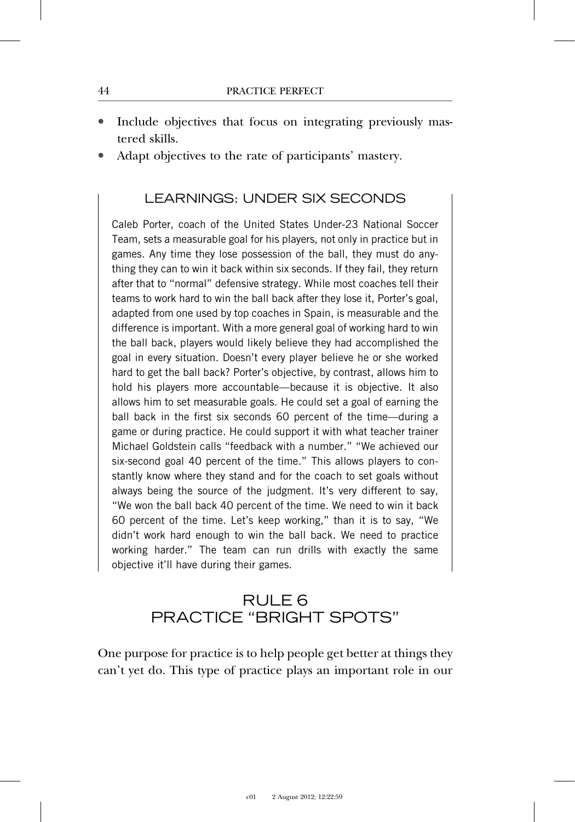- Include objectives that focus on integrating previously mastered skills.
- Adapt objectives to the rate of participants' mastery.

## LEARNINGS: UNDER SIX SECONDS

Caleb Porter, coach of the United States Under-23 National Soccer Team, sets a measurable goal for his players, not only in practice but in games. Any time they lose possession of the ball, they must do anything they can to win it back within six seconds. If they fail, they return after that to "normal" defensive strategy. While most coaches tell their teams to work hard to win the ball back after they lose it, Porter's goal, adapted from one used by top coaches in Spain, is measurable and the difference is important. With a more general goal of working hard to win the ball back, players would likely believe they had accomplished the goal in every situation. Doesn't every player believe he or she worked hard to get the ball back? Porter's objective, by contrast, allows him to hold his players more accountable—because it is objective. It also allows him to set measurable goals. He could set a goal of earning the ball back in the first six seconds 60 percent of the time—during a game or during practice. He could support it with what teacher trainer Michael Goldstein calls "feedback with a number." "We achieved our six-second goal 40 percent of the time." This allows players to constantly know where they stand and for the coach to set goals without always being the source of the judgment. It's very different to say, "We won the ball back 40 percent of the time. We need to win it back 60 percent of the time. Let's keep working," than it is to say, "We didn't work hard enough to win the ball back. We need to practice working harder." The team can run drills with exactly the same objective it'll have during their games.

# RULE 6 PRACTICE "BRIGHT SPOTS"

One purpose for practice is to help people get better at things they can't yet do. This type of practice plays an important role in our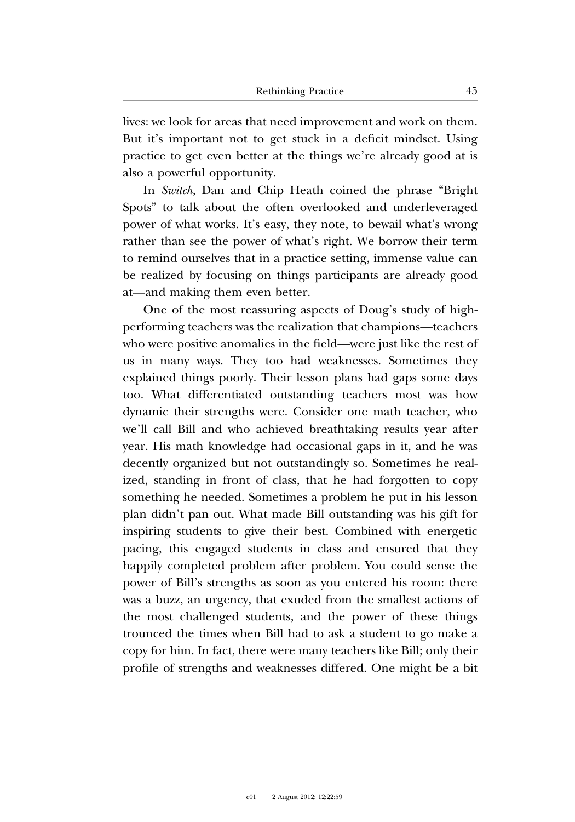lives: we look for areas that need improvement and work on them. But it's important not to get stuck in a deficit mindset. Using practice to get even better at the things we're already good at is also a powerful opportunity.

In Switch, Dan and Chip Heath coined the phrase "Bright Spots" to talk about the often overlooked and underleveraged power of what works. It's easy, they note, to bewail what's wrong rather than see the power of what's right. We borrow their term to remind ourselves that in a practice setting, immense value can be realized by focusing on things participants are already good at—and making them even better.

One of the most reassuring aspects of Doug's study of highperforming teachers was the realization that champions—teachers who were positive anomalies in the field—were just like the rest of us in many ways. They too had weaknesses. Sometimes they explained things poorly. Their lesson plans had gaps some days too. What differentiated outstanding teachers most was how dynamic their strengths were. Consider one math teacher, who we'll call Bill and who achieved breathtaking results year after year. His math knowledge had occasional gaps in it, and he was decently organized but not outstandingly so. Sometimes he realized, standing in front of class, that he had forgotten to copy something he needed. Sometimes a problem he put in his lesson plan didn't pan out. What made Bill outstanding was his gift for inspiring students to give their best. Combined with energetic pacing, this engaged students in class and ensured that they happily completed problem after problem. You could sense the power of Bill's strengths as soon as you entered his room: there was a buzz, an urgency, that exuded from the smallest actions of the most challenged students, and the power of these things trounced the times when Bill had to ask a student to go make a copy for him. In fact, there were many teachers like Bill; only their profile of strengths and weaknesses differed. One might be a bit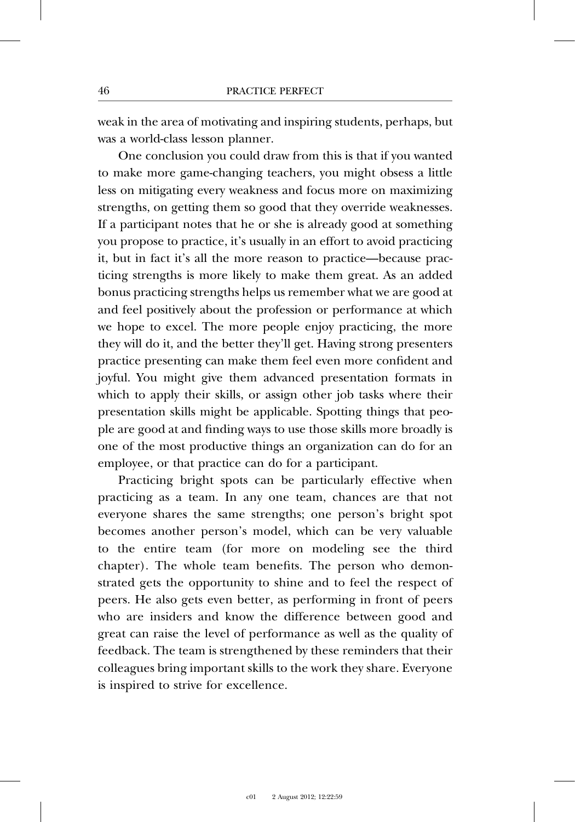weak in the area of motivating and inspiring students, perhaps, but was a world-class lesson planner.

One conclusion you could draw from this is that if you wanted to make more game-changing teachers, you might obsess a little less on mitigating every weakness and focus more on maximizing strengths, on getting them so good that they override weaknesses. If a participant notes that he or she is already good at something you propose to practice, it's usually in an effort to avoid practicing it, but in fact it's all the more reason to practice—because practicing strengths is more likely to make them great. As an added bonus practicing strengths helps us remember what we are good at and feel positively about the profession or performance at which we hope to excel. The more people enjoy practicing, the more they will do it, and the better they'll get. Having strong presenters practice presenting can make them feel even more confident and joyful. You might give them advanced presentation formats in which to apply their skills, or assign other job tasks where their presentation skills might be applicable. Spotting things that people are good at and finding ways to use those skills more broadly is one of the most productive things an organization can do for an employee, or that practice can do for a participant.

Practicing bright spots can be particularly effective when practicing as a team. In any one team, chances are that not everyone shares the same strengths; one person's bright spot becomes another person's model, which can be very valuable to the entire team (for more on modeling see the third chapter). The whole team benefits. The person who demonstrated gets the opportunity to shine and to feel the respect of peers. He also gets even better, as performing in front of peers who are insiders and know the difference between good and great can raise the level of performance as well as the quality of feedback. The team is strengthened by these reminders that their colleagues bring important skills to the work they share. Everyone is inspired to strive for excellence.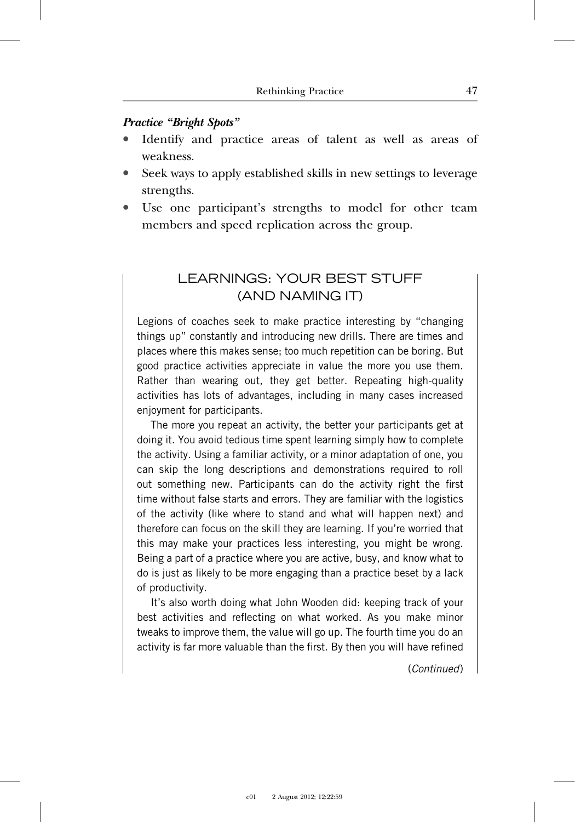### Practice "Bright Spots"

- Identify and practice areas of talent as well as areas of weakness.
- Seek ways to apply established skills in new settings to leverage strengths.
- Use one participant's strengths to model for other team members and speed replication across the group.

# LEARNINGS: YOUR BEST STUFF (AND NAMING IT)

Legions of coaches seek to make practice interesting by "changing things up" constantly and introducing new drills. There are times and places where this makes sense; too much repetition can be boring. But good practice activities appreciate in value the more you use them. Rather than wearing out, they get better. Repeating high-quality activities has lots of advantages, including in many cases increased enjoyment for participants.

The more you repeat an activity, the better your participants get at doing it. You avoid tedious time spent learning simply how to complete the activity. Using a familiar activity, or a minor adaptation of one, you can skip the long descriptions and demonstrations required to roll out something new. Participants can do the activity right the first time without false starts and errors. They are familiar with the logistics of the activity (like where to stand and what will happen next) and therefore can focus on the skill they are learning. If you're worried that this may make your practices less interesting, you might be wrong. Being a part of a practice where you are active, busy, and know what to do is just as likely to be more engaging than a practice beset by a lack of productivity.

It's also worth doing what John Wooden did: keeping track of your best activities and reflecting on what worked. As you make minor tweaks to improve them, the value will go up. The fourth time you do an activity is far more valuable than the first. By then you will have refined

(Continued)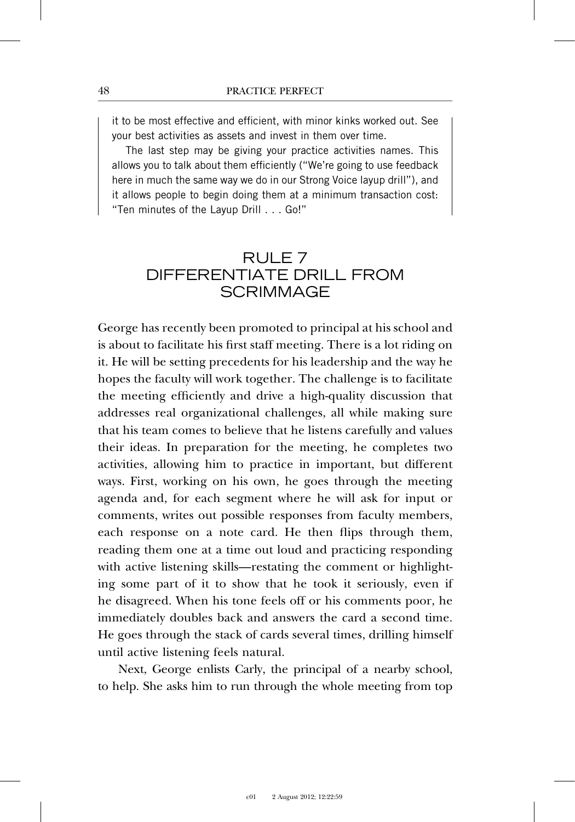it to be most effective and efficient, with minor kinks worked out. See your best activities as assets and invest in them over time.

The last step may be giving your practice activities names. This allows you to talk about them efficiently ("We're going to use feedback here in much the same way we do in our Strong Voice layup drill"), and it allows people to begin doing them at a minimum transaction cost: "Ten minutes of the Layup Drill . . . Go!"

# RULE 7 DIFFERENTIATE DRILL FROM **SCRIMMAGE**

George has recently been promoted to principal at his school and is about to facilitate his first staff meeting. There is a lot riding on it. He will be setting precedents for his leadership and the way he hopes the faculty will work together. The challenge is to facilitate the meeting efficiently and drive a high-quality discussion that addresses real organizational challenges, all while making sure that his team comes to believe that he listens carefully and values their ideas. In preparation for the meeting, he completes two activities, allowing him to practice in important, but different ways. First, working on his own, he goes through the meeting agenda and, for each segment where he will ask for input or comments, writes out possible responses from faculty members, each response on a note card. He then flips through them, reading them one at a time out loud and practicing responding with active listening skills—restating the comment or highlighting some part of it to show that he took it seriously, even if he disagreed. When his tone feels off or his comments poor, he immediately doubles back and answers the card a second time. He goes through the stack of cards several times, drilling himself until active listening feels natural.

Next, George enlists Carly, the principal of a nearby school, to help. She asks him to run through the whole meeting from top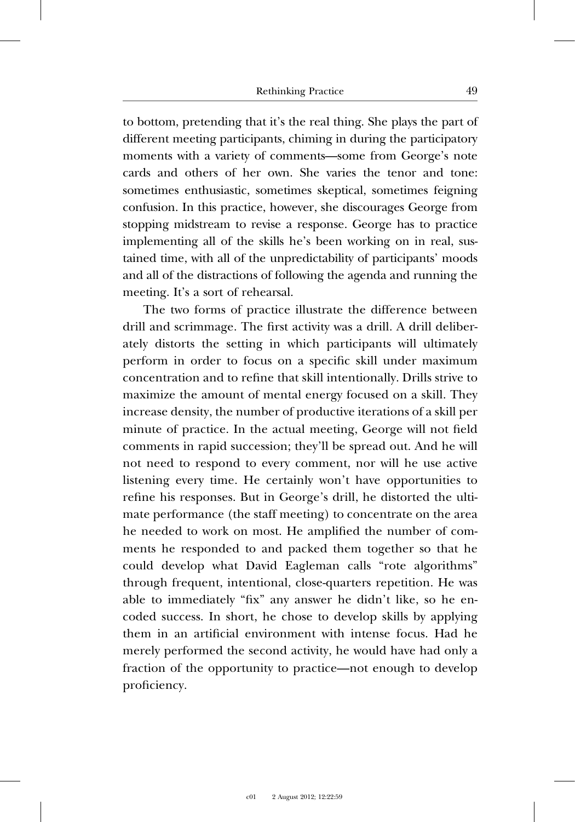to bottom, pretending that it's the real thing. She plays the part of different meeting participants, chiming in during the participatory moments with a variety of comments—some from George's note cards and others of her own. She varies the tenor and tone: sometimes enthusiastic, sometimes skeptical, sometimes feigning confusion. In this practice, however, she discourages George from stopping midstream to revise a response. George has to practice implementing all of the skills he's been working on in real, sustained time, with all of the unpredictability of participants' moods and all of the distractions of following the agenda and running the meeting. It's a sort of rehearsal.

The two forms of practice illustrate the difference between drill and scrimmage. The first activity was a drill. A drill deliberately distorts the setting in which participants will ultimately perform in order to focus on a specific skill under maximum concentration and to refine that skill intentionally. Drills strive to maximize the amount of mental energy focused on a skill. They increase density, the number of productive iterations of a skill per minute of practice. In the actual meeting, George will not field comments in rapid succession; they'll be spread out. And he will not need to respond to every comment, nor will he use active listening every time. He certainly won't have opportunities to refine his responses. But in George's drill, he distorted the ultimate performance (the staff meeting) to concentrate on the area he needed to work on most. He amplified the number of comments he responded to and packed them together so that he could develop what David Eagleman calls "rote algorithms" through frequent, intentional, close-quarters repetition. He was able to immediately "fix" any answer he didn't like, so he encoded success. In short, he chose to develop skills by applying them in an artificial environment with intense focus. Had he merely performed the second activity, he would have had only a fraction of the opportunity to practice—not enough to develop proficiency.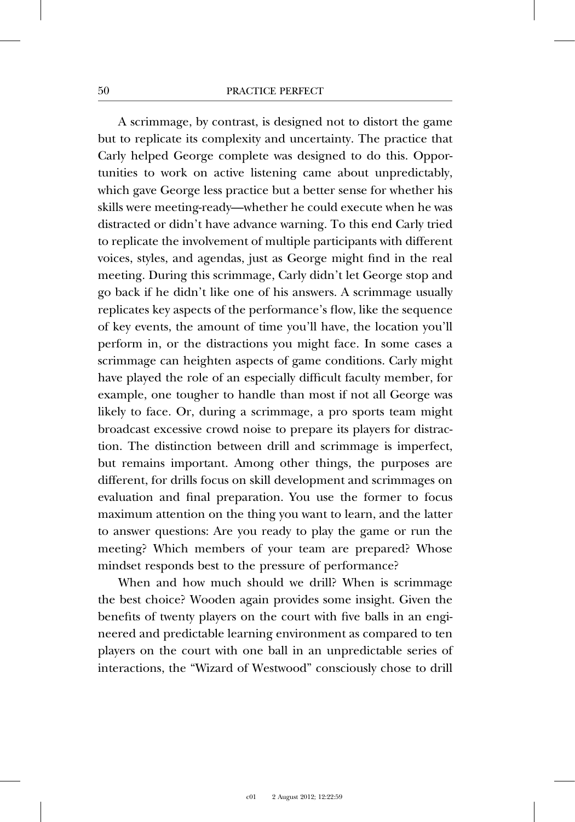50 PRACTICE PERFECT

A scrimmage, by contrast, is designed not to distort the game but to replicate its complexity and uncertainty. The practice that Carly helped George complete was designed to do this. Opportunities to work on active listening came about unpredictably, which gave George less practice but a better sense for whether his skills were meeting-ready—whether he could execute when he was distracted or didn't have advance warning. To this end Carly tried to replicate the involvement of multiple participants with different voices, styles, and agendas, just as George might find in the real meeting. During this scrimmage, Carly didn't let George stop and go back if he didn't like one of his answers. A scrimmage usually replicates key aspects of the performance's flow, like the sequence of key events, the amount of time you'll have, the location you'll perform in, or the distractions you might face. In some cases a scrimmage can heighten aspects of game conditions. Carly might have played the role of an especially difficult faculty member, for example, one tougher to handle than most if not all George was likely to face. Or, during a scrimmage, a pro sports team might broadcast excessive crowd noise to prepare its players for distraction. The distinction between drill and scrimmage is imperfect, but remains important. Among other things, the purposes are different, for drills focus on skill development and scrimmages on evaluation and final preparation. You use the former to focus maximum attention on the thing you want to learn, and the latter to answer questions: Are you ready to play the game or run the meeting? Which members of your team are prepared? Whose mindset responds best to the pressure of performance?

When and how much should we drill? When is scrimmage the best choice? Wooden again provides some insight. Given the benefits of twenty players on the court with five balls in an engineered and predictable learning environment as compared to ten players on the court with one ball in an unpredictable series of interactions, the "Wizard of Westwood" consciously chose to drill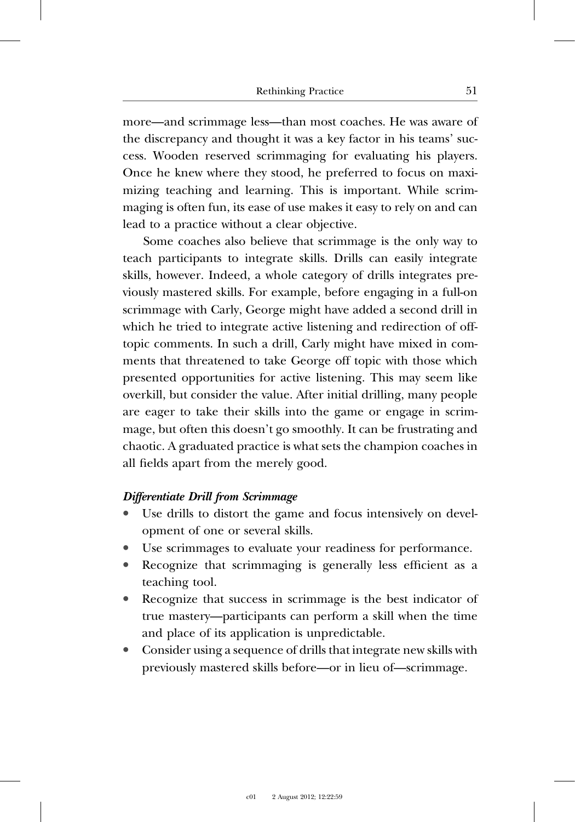more—and scrimmage less—than most coaches. He was aware of the discrepancy and thought it was a key factor in his teams' success. Wooden reserved scrimmaging for evaluating his players. Once he knew where they stood, he preferred to focus on maximizing teaching and learning. This is important. While scrimmaging is often fun, its ease of use makes it easy to rely on and can lead to a practice without a clear objective.

Some coaches also believe that scrimmage is the only way to teach participants to integrate skills. Drills can easily integrate skills, however. Indeed, a whole category of drills integrates previously mastered skills. For example, before engaging in a full-on scrimmage with Carly, George might have added a second drill in which he tried to integrate active listening and redirection of offtopic comments. In such a drill, Carly might have mixed in comments that threatened to take George off topic with those which presented opportunities for active listening. This may seem like overkill, but consider the value. After initial drilling, many people are eager to take their skills into the game or engage in scrimmage, but often this doesn't go smoothly. It can be frustrating and chaotic. A graduated practice is what sets the champion coaches in all fields apart from the merely good.

### Differentiate Drill from Scrimmage

- Use drills to distort the game and focus intensively on development of one or several skills.
- Use scrimmages to evaluate your readiness for performance.
- Recognize that scrimmaging is generally less efficient as a teaching tool.
- Recognize that success in scrimmage is the best indicator of true mastery—participants can perform a skill when the time and place of its application is unpredictable.
- Consider using a sequence of drills that integrate new skills with previously mastered skills before—or in lieu of—scrimmage.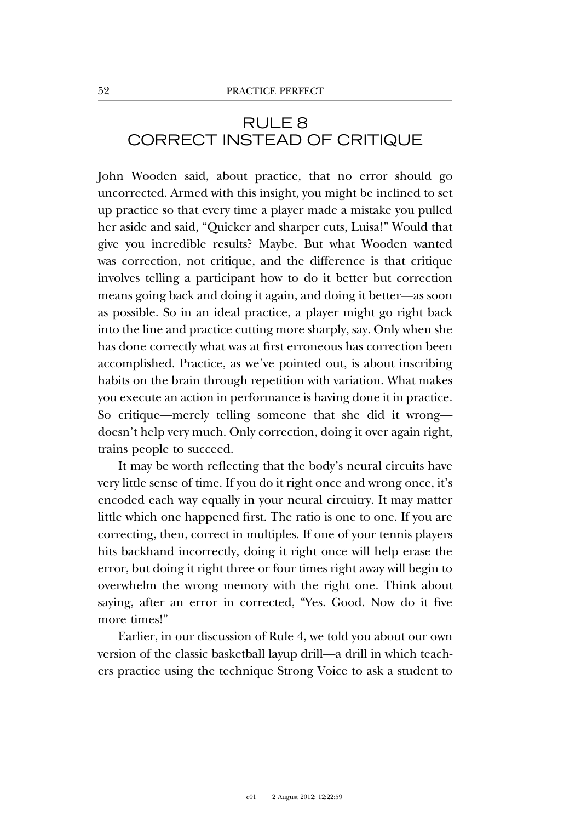# RULE 8 CORRECT INSTEAD OF CRITIQUE

John Wooden said, about practice, that no error should go uncorrected. Armed with this insight, you might be inclined to set up practice so that every time a player made a mistake you pulled her aside and said, "Quicker and sharper cuts, Luisa!" Would that give you incredible results? Maybe. But what Wooden wanted was correction, not critique, and the difference is that critique involves telling a participant how to do it better but correction means going back and doing it again, and doing it better—as soon as possible. So in an ideal practice, a player might go right back into the line and practice cutting more sharply, say. Only when she has done correctly what was at first erroneous has correction been accomplished. Practice, as we've pointed out, is about inscribing habits on the brain through repetition with variation. What makes you execute an action in performance is having done it in practice. So critique—merely telling someone that she did it wrong doesn't help very much. Only correction, doing it over again right, trains people to succeed.

It may be worth reflecting that the body's neural circuits have very little sense of time. If you do it right once and wrong once, it's encoded each way equally in your neural circuitry. It may matter little which one happened first. The ratio is one to one. If you are correcting, then, correct in multiples. If one of your tennis players hits backhand incorrectly, doing it right once will help erase the error, but doing it right three or four times right away will begin to overwhelm the wrong memory with the right one. Think about saying, after an error in corrected, "Yes. Good. Now do it five more times!"

Earlier, in our discussion of Rule 4, we told you about our own version of the classic basketball layup drill—a drill in which teachers practice using the technique Strong Voice to ask a student to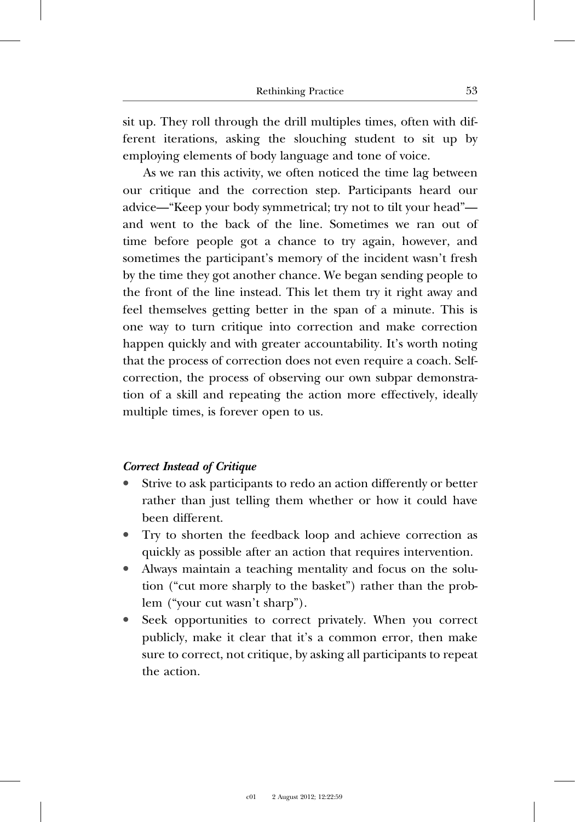sit up. They roll through the drill multiples times, often with different iterations, asking the slouching student to sit up by employing elements of body language and tone of voice.

As we ran this activity, we often noticed the time lag between our critique and the correction step. Participants heard our advice—"Keep your body symmetrical; try not to tilt your head" and went to the back of the line. Sometimes we ran out of time before people got a chance to try again, however, and sometimes the participant's memory of the incident wasn't fresh by the time they got another chance. We began sending people to the front of the line instead. This let them try it right away and feel themselves getting better in the span of a minute. This is one way to turn critique into correction and make correction happen quickly and with greater accountability. It's worth noting that the process of correction does not even require a coach. Selfcorrection, the process of observing our own subpar demonstration of a skill and repeating the action more effectively, ideally multiple times, is forever open to us.

### Correct Instead of Critique

- Strive to ask participants to redo an action differently or better rather than just telling them whether or how it could have been different.
- Try to shorten the feedback loop and achieve correction as quickly as possible after an action that requires intervention.
- Always maintain a teaching mentality and focus on the solution ("cut more sharply to the basket") rather than the problem ("your cut wasn't sharp").
- Seek opportunities to correct privately. When you correct publicly, make it clear that it's a common error, then make sure to correct, not critique, by asking all participants to repeat the action.